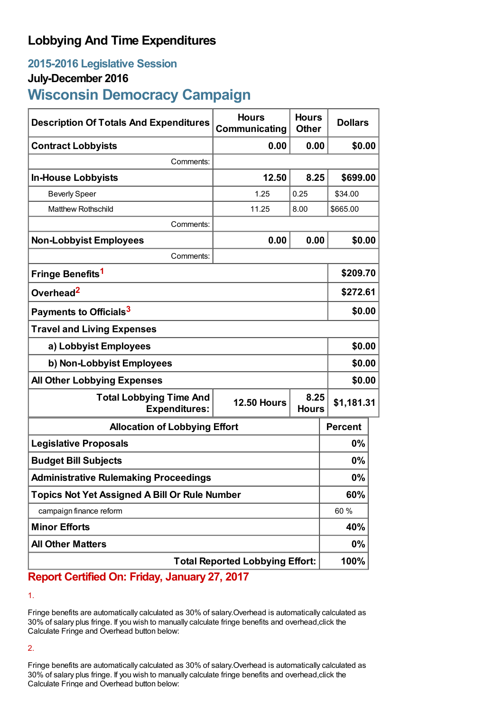## **Lobbying And Time Expenditures**

## **2015-2016 Legislative Session**

## **July-December 2016**

# **Wisconsin Democracy Campaign**

| <b>Description Of Totals And Expenditures</b>          | <b>Hours</b><br>Communicating | <b>Hours</b><br><b>Other</b> | <b>Dollars</b> |  |
|--------------------------------------------------------|-------------------------------|------------------------------|----------------|--|
| <b>Contract Lobbyists</b>                              | 0.00                          | 0.00                         | \$0.00         |  |
| Comments:                                              |                               |                              |                |  |
| <b>In-House Lobbyists</b>                              | 12.50                         | 8.25                         | \$699.00       |  |
| <b>Beverly Speer</b>                                   | 1.25                          | 0.25                         | \$34.00        |  |
| <b>Matthew Rothschild</b>                              | 11.25                         | 8.00                         | \$665.00       |  |
| Comments:                                              |                               |                              |                |  |
| <b>Non-Lobbyist Employees</b>                          | 0.00                          | 0.00                         | \$0.00         |  |
| Comments:                                              |                               |                              |                |  |
| Fringe Benefits <sup>1</sup>                           |                               |                              | \$209.70       |  |
| Overhead <sup>2</sup>                                  |                               |                              | \$272.61       |  |
| Payments to Officials <sup>3</sup>                     |                               |                              | \$0.00         |  |
| <b>Travel and Living Expenses</b>                      |                               |                              |                |  |
| a) Lobbyist Employees                                  |                               |                              | \$0.00         |  |
| b) Non-Lobbyist Employees                              |                               |                              | \$0.00         |  |
| <b>All Other Lobbying Expenses</b>                     |                               |                              | \$0.00         |  |
| <b>Total Lobbying Time And</b><br><b>Expenditures:</b> | <b>12.50 Hours</b>            | 8.25<br><b>Hours</b>         | \$1,181.31     |  |
| <b>Allocation of Lobbying Effort</b>                   |                               |                              | <b>Percent</b> |  |
| <b>Legislative Proposals</b>                           |                               |                              | 0%             |  |
| <b>Budget Bill Subjects</b>                            |                               |                              | $0\%$          |  |
| <b>Administrative Rulemaking Proceedings</b>           |                               |                              | 0%             |  |
| <b>Topics Not Yet Assigned A Bill Or Rule Number</b>   |                               |                              | 60%            |  |
| campaign finance reform                                |                               |                              | 60 %           |  |
| <b>Minor Efforts</b>                                   |                               |                              | 40%            |  |
| <b>All Other Matters</b>                               |                               |                              | 0%             |  |
| <b>Total Reported Lobbying Effort:</b>                 |                               |                              | 100%           |  |

## **Report Certified On: Friday, January 27, 2017**

1.

Fringe benefits are automatically calculated as 30% of salary.Overhead is automatically calculated as 30% of salary plus fringe. If you wish to manually calculate fringe benefits and overhead,click the Calculate Fringe and Overhead button below:

2.

Fringe benefits are automatically calculated as 30% of salary.Overhead is automatically calculated as 30% of salary plus fringe. If you wish to manually calculate fringe benefits and overhead,click the Calculate Fringe and Overhead button below: